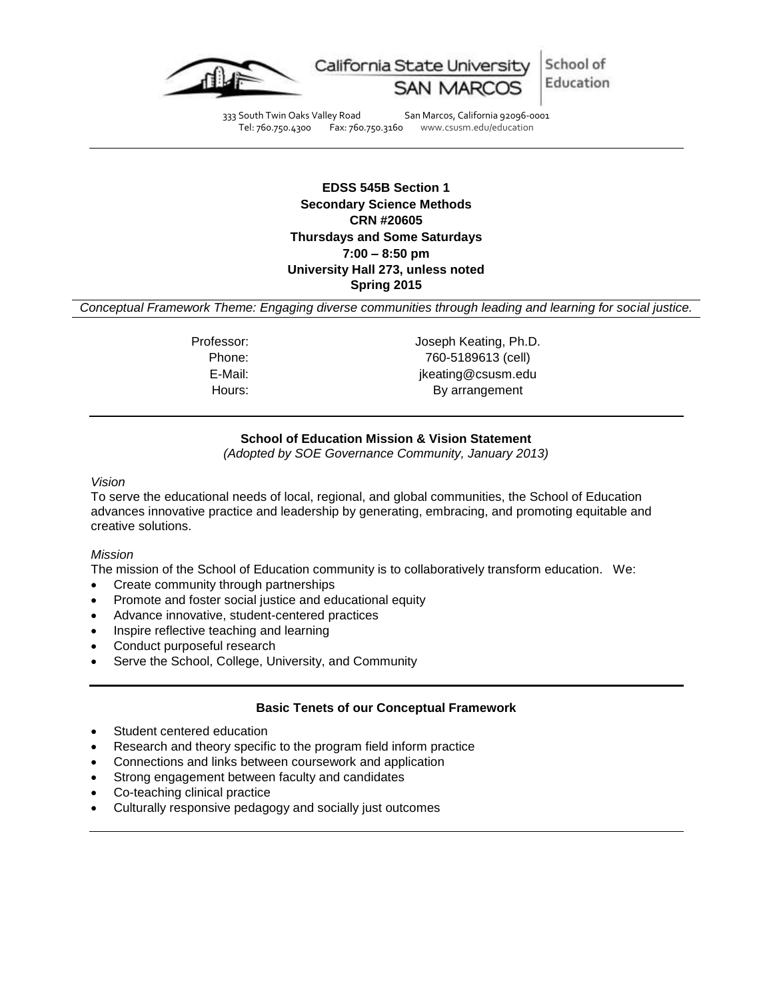

333 South Twin Oaks Valley Road San Marcos, California 92096-0001 Tel: 760.750.4300 Fax: 760.750.3160 www.csusm.edu/education

> **EDSS 545B Section 1 Secondary Science Methods CRN #20605 Thursdays and Some Saturdays 7:00 – 8:50 pm University Hall 273, unless noted Spring 2015**

*Conceptual Framework Theme: Engaging diverse communities through leading and learning for social justice.*

Professor: Joseph Keating, Ph.D. Phone: 760-5189613 (cell) E-Mail: jkeating@csusm.edu Hours: By arrangement

## **School of Education Mission & Vision Statement**

*(Adopted by SOE Governance Community, January 2013)*

*Vision*

To serve the educational needs of local, regional, and global communities, the School of Education advances innovative practice and leadership by generating, embracing, and promoting equitable and creative solutions.

#### *Mission*

The mission of the School of Education community is to collaboratively transform education. We:

- Create community through partnerships
- Promote and foster social justice and educational equity
- Advance innovative, student-centered practices
- Inspire reflective teaching and learning
- Conduct purposeful research
- Serve the School, College, University, and Community

#### **Basic Tenets of our Conceptual Framework**

- Student centered education
- Research and theory specific to the program field inform practice
- Connections and links between coursework and application
- Strong engagement between faculty and candidates
- Co-teaching clinical practice
- Culturally responsive pedagogy and socially just outcomes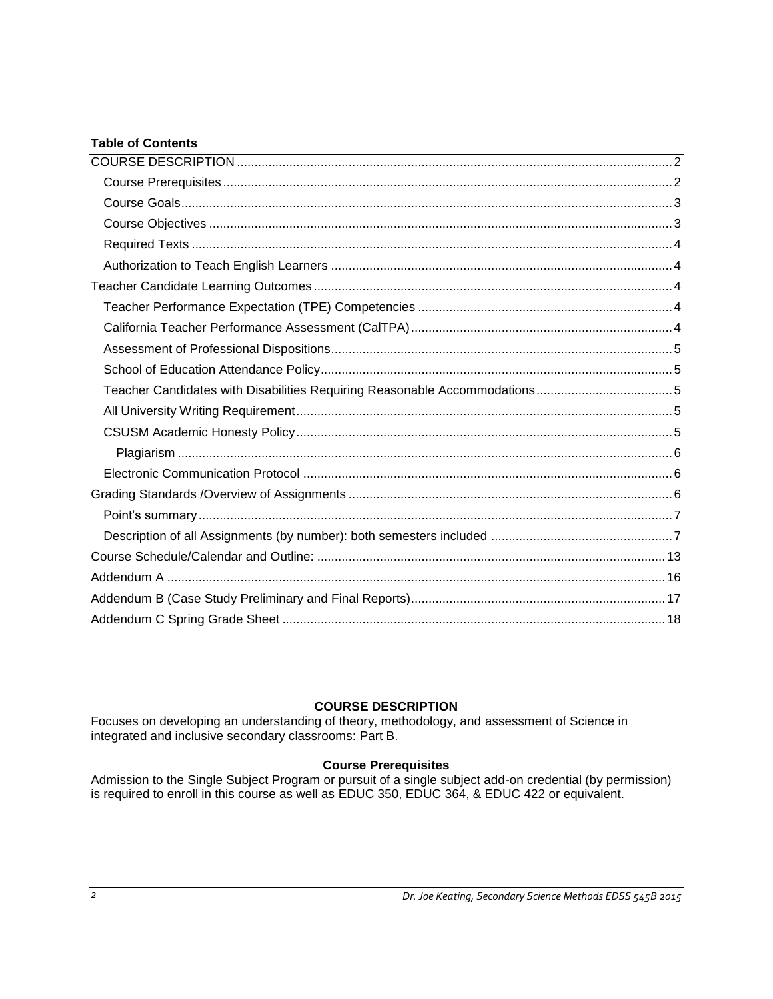## **Table of Contents**

## **COURSE DESCRIPTION**

<span id="page-1-0"></span>Focuses on developing an understanding of theory, methodology, and assessment of Science in integrated and inclusive secondary classrooms: Part B.

## **Course Prerequisites**

<span id="page-1-2"></span><span id="page-1-1"></span>Admission to the Single Subject Program or pursuit of a single subject add-on credential (by permission) is required to enroll in this course as well as EDUC 350, EDUC 364, & EDUC 422 or equivalent.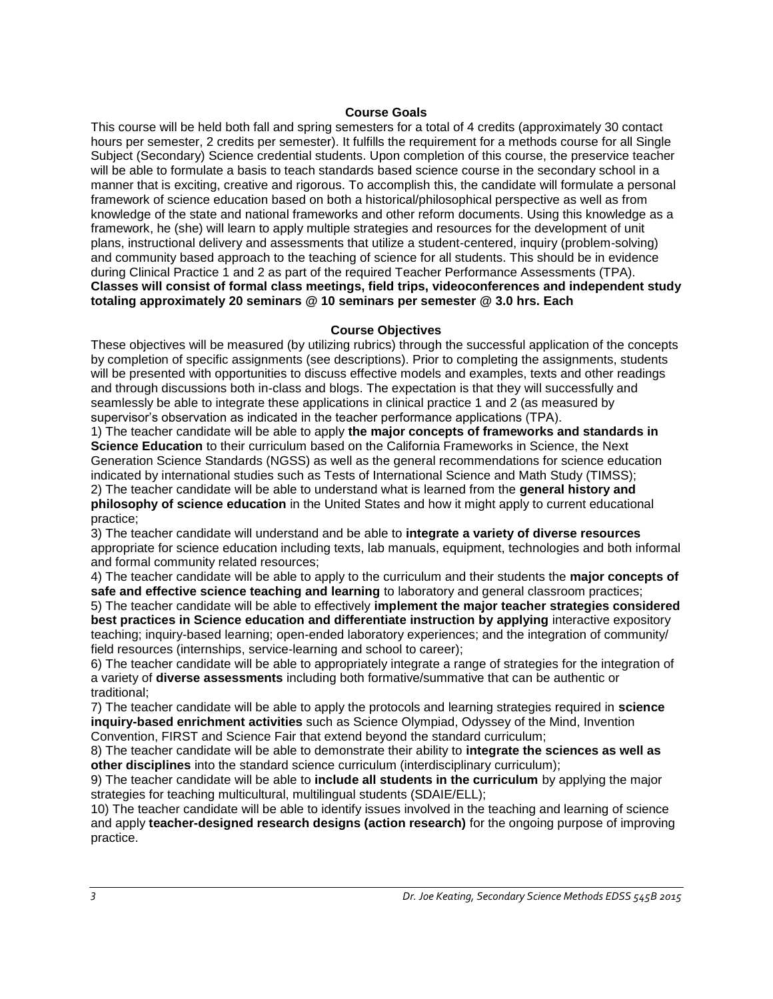#### **Course Goals**

This course will be held both fall and spring semesters for a total of 4 credits (approximately 30 contact hours per semester, 2 credits per semester). It fulfills the requirement for a methods course for all Single Subject (Secondary) Science credential students. Upon completion of this course, the preservice teacher will be able to formulate a basis to teach standards based science course in the secondary school in a manner that is exciting, creative and rigorous. To accomplish this, the candidate will formulate a personal framework of science education based on both a historical/philosophical perspective as well as from knowledge of the state and national frameworks and other reform documents. Using this knowledge as a framework, he (she) will learn to apply multiple strategies and resources for the development of unit plans, instructional delivery and assessments that utilize a student-centered, inquiry (problem-solving) and community based approach to the teaching of science for all students. This should be in evidence during Clinical Practice 1 and 2 as part of the required Teacher Performance Assessments (TPA). **Classes will consist of formal class meetings, field trips, videoconferences and independent study totaling approximately 20 seminars @ 10 seminars per semester @ 3.0 hrs. Each**

#### **Course Objectives**

<span id="page-2-0"></span>These objectives will be measured (by utilizing rubrics) through the successful application of the concepts by completion of specific assignments (see descriptions). Prior to completing the assignments, students will be presented with opportunities to discuss effective models and examples, texts and other readings and through discussions both in-class and blogs. The expectation is that they will successfully and seamlessly be able to integrate these applications in clinical practice 1 and 2 (as measured by supervisor's observation as indicated in the teacher performance applications (TPA).

1) The teacher candidate will be able to apply **the major concepts of frameworks and standards in Science Education** to their curriculum based on the California Frameworks in Science, the Next Generation Science Standards (NGSS) as well as the general recommendations for science education indicated by international studies such as Tests of International Science and Math Study (TIMSS); 2) The teacher candidate will be able to understand what is learned from the **general history and philosophy of science education** in the United States and how it might apply to current educational practice;

3) The teacher candidate will understand and be able to **integrate a variety of diverse resources**  appropriate for science education including texts, lab manuals, equipment, technologies and both informal and formal community related resources;

4) The teacher candidate will be able to apply to the curriculum and their students the **major concepts of safe and effective science teaching and learning** to laboratory and general classroom practices;

5) The teacher candidate will be able to effectively **implement the major teacher strategies considered best practices in Science education and differentiate instruction by applying** interactive expository teaching; inquiry-based learning; open-ended laboratory experiences; and the integration of community/ field resources (internships, service-learning and school to career);

6) The teacher candidate will be able to appropriately integrate a range of strategies for the integration of a variety of **diverse assessments** including both formative/summative that can be authentic or traditional;

7) The teacher candidate will be able to apply the protocols and learning strategies required in **science inquiry-based enrichment activities** such as Science Olympiad, Odyssey of the Mind, Invention Convention, FIRST and Science Fair that extend beyond the standard curriculum;

8) The teacher candidate will be able to demonstrate their ability to **integrate the sciences as well as other disciplines** into the standard science curriculum (interdisciplinary curriculum);

9) The teacher candidate will be able to **include all students in the curriculum** by applying the major strategies for teaching multicultural, multilingual students (SDAIE/ELL);

<span id="page-2-1"></span>10) The teacher candidate will be able to identify issues involved in the teaching and learning of science and apply **teacher-designed research designs (action research)** for the ongoing purpose of improving practice.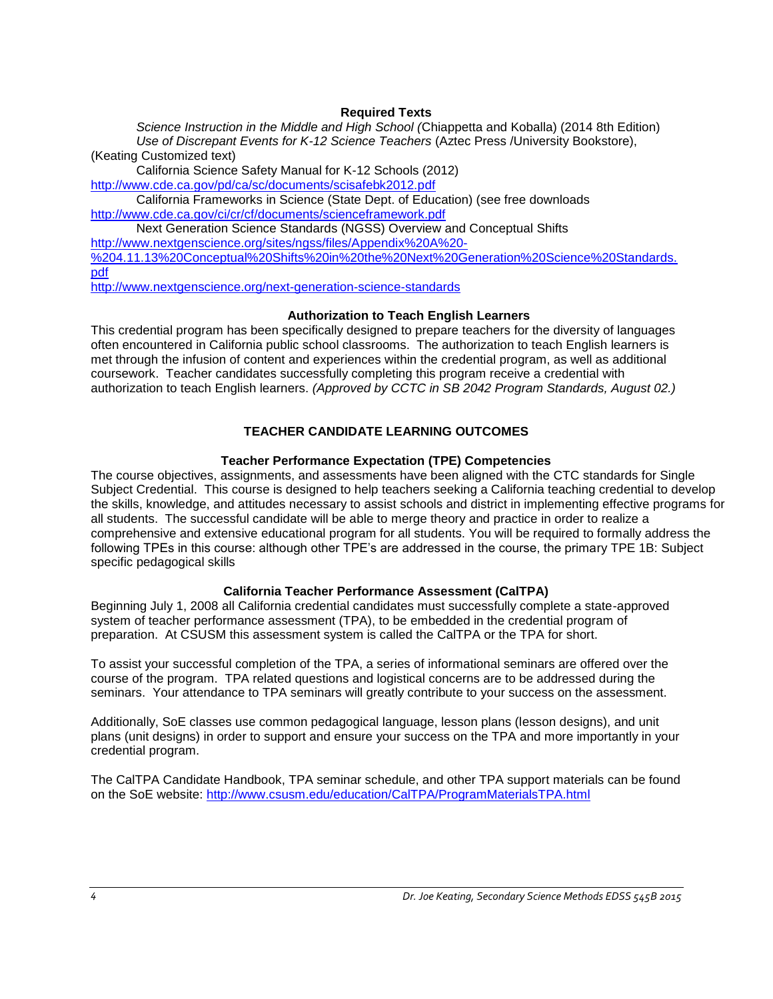#### **Required Texts**

*Science Instruction in the Middle and High School (*Chiappetta and Koballa) (2014 8th Edition) *Use of Discrepant Events for K-12 Science Teachers* (Aztec Press /University Bookstore), (Keating Customized text)

California Science Safety Manual for K-12 Schools (2012) <http://www.cde.ca.gov/pd/ca/sc/documents/scisafebk2012.pdf>

California Frameworks in Science (State Dept. of Education) (see free downloads <http://www.cde.ca.gov/ci/cr/cf/documents/scienceframework.pdf>

Next Generation Science Standards (NGSS) Overview and Conceptual Shifts [http://www.nextgenscience.org/sites/ngss/files/Appendix%20A%20-](http://www.nextgenscience.org/sites/ngss/files/Appendix%20A%20-%204.11.13%20Conceptual%20Shifts%20in%20the%20Next%20Generation%20Science%20Standards.pdf)

[%204.11.13%20Conceptual%20Shifts%20in%20the%20Next%20Generation%20Science%20Standards.](http://www.nextgenscience.org/sites/ngss/files/Appendix%20A%20-%204.11.13%20Conceptual%20Shifts%20in%20the%20Next%20Generation%20Science%20Standards.pdf) [pdf](http://www.nextgenscience.org/sites/ngss/files/Appendix%20A%20-%204.11.13%20Conceptual%20Shifts%20in%20the%20Next%20Generation%20Science%20Standards.pdf)

<http://www.nextgenscience.org/next-generation-science-standards>

#### <span id="page-3-0"></span>**Authorization to Teach English Learners**

This credential program has been specifically designed to prepare teachers for the diversity of languages often encountered in California public school classrooms. The authorization to teach English learners is met through the infusion of content and experiences within the credential program, as well as additional coursework. Teacher candidates successfully completing this program receive a credential with authorization to teach English learners. *(Approved by CCTC in SB 2042 Program Standards, August 02.)*

## **TEACHER CANDIDATE LEARNING OUTCOMES**

## **Teacher Performance Expectation (TPE) Competencies**

<span id="page-3-2"></span><span id="page-3-1"></span>The course objectives, assignments, and assessments have been aligned with the CTC standards for Single Subject Credential. This course is designed to help teachers seeking a California teaching credential to develop the skills, knowledge, and attitudes necessary to assist schools and district in implementing effective programs for all students. The successful candidate will be able to merge theory and practice in order to realize a comprehensive and extensive educational program for all students. You will be required to formally address the following TPEs in this course: although other TPE's are addressed in the course, the primary TPE 1B: Subject specific pedagogical skills

## **California Teacher Performance Assessment (CalTPA)**

<span id="page-3-3"></span>Beginning July 1, 2008 all California credential candidates must successfully complete a state-approved system of teacher performance assessment (TPA), to be embedded in the credential program of preparation. At CSUSM this assessment system is called the CalTPA or the TPA for short.

To assist your successful completion of the TPA, a series of informational seminars are offered over the course of the program. TPA related questions and logistical concerns are to be addressed during the seminars. Your attendance to TPA seminars will greatly contribute to your success on the assessment.

Additionally, SoE classes use common pedagogical language, lesson plans (lesson designs), and unit plans (unit designs) in order to support and ensure your success on the TPA and more importantly in your credential program.

<span id="page-3-4"></span>The CalTPA Candidate Handbook, TPA seminar schedule, and other TPA support materials can be found on the SoE website:<http://www.csusm.edu/education/CalTPA/ProgramMaterialsTPA.html>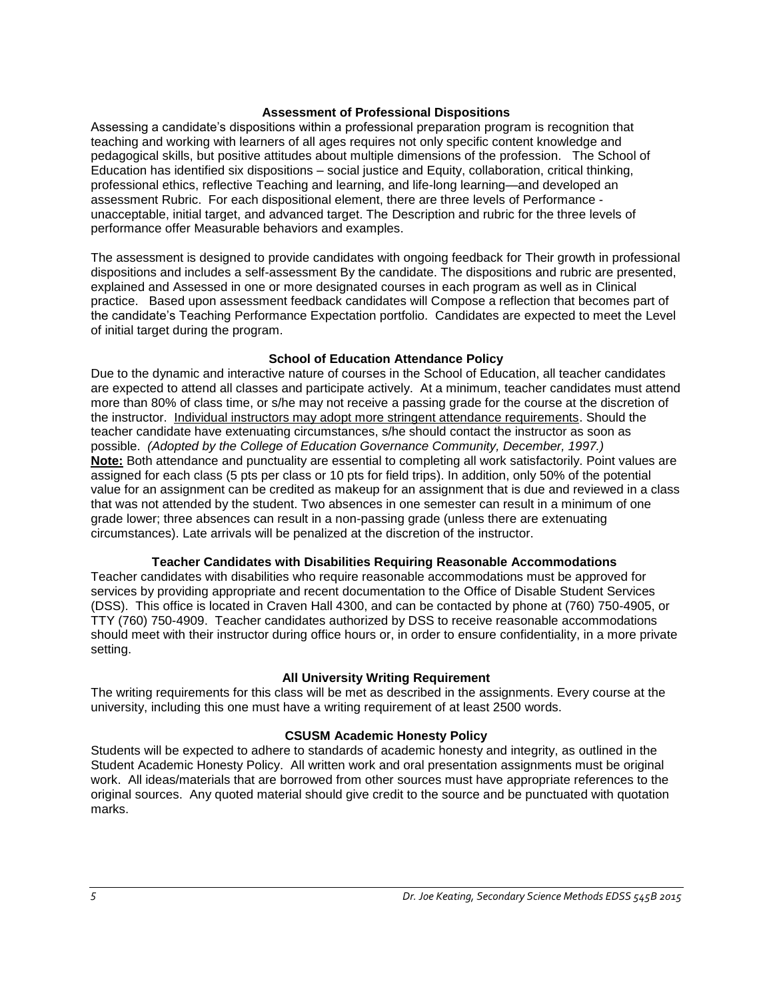#### **Assessment of Professional Dispositions**

Assessing a candidate's dispositions within a professional preparation program is recognition that teaching and working with learners of all ages requires not only specific content knowledge and pedagogical skills, but positive attitudes about multiple dimensions of the profession. The School of Education has identified six dispositions – social justice and Equity, collaboration, critical thinking, professional ethics, reflective Teaching and learning, and life-long learning—and developed an assessment Rubric. For each dispositional element, there are three levels of Performance unacceptable, initial target, and advanced target. The Description and rubric for the three levels of performance offer Measurable behaviors and examples.

The assessment is designed to provide candidates with ongoing feedback for Their growth in professional dispositions and includes a self-assessment By the candidate. The dispositions and rubric are presented, explained and Assessed in one or more designated courses in each program as well as in Clinical practice. Based upon assessment feedback candidates will Compose a reflection that becomes part of the candidate's Teaching Performance Expectation portfolio. Candidates are expected to meet the Level of initial target during the program.

#### **School of Education Attendance Policy**

<span id="page-4-0"></span>Due to the dynamic and interactive nature of courses in the School of Education, all teacher candidates are expected to attend all classes and participate actively. At a minimum, teacher candidates must attend more than 80% of class time, or s/he may not receive a passing grade for the course at the discretion of the instructor. Individual instructors may adopt more stringent attendance requirements. Should the teacher candidate have extenuating circumstances, s/he should contact the instructor as soon as possible. *(Adopted by the College of Education Governance Community, December, 1997.)* **Note:** Both attendance and punctuality are essential to completing all work satisfactorily. Point values are assigned for each class (5 pts per class or 10 pts for field trips). In addition, only 50% of the potential value for an assignment can be credited as makeup for an assignment that is due and reviewed in a class that was not attended by the student. Two absences in one semester can result in a minimum of one grade lower; three absences can result in a non-passing grade (unless there are extenuating circumstances). Late arrivals will be penalized at the discretion of the instructor.

## **Teacher Candidates with Disabilities Requiring Reasonable Accommodations**

<span id="page-4-1"></span>Teacher candidates with disabilities who require reasonable accommodations must be approved for services by providing appropriate and recent documentation to the Office of Disable Student Services (DSS). This office is located in Craven Hall 4300, and can be contacted by phone at (760) 750-4905, or TTY (760) 750-4909. Teacher candidates authorized by DSS to receive reasonable accommodations should meet with their instructor during office hours or, in order to ensure confidentiality, in a more private setting.

#### **All University Writing Requirement**

<span id="page-4-2"></span>The writing requirements for this class will be met as described in the assignments. Every course at the university, including this one must have a writing requirement of at least 2500 words.

## **CSUSM Academic Honesty Policy**

<span id="page-4-3"></span>Students will be expected to adhere to standards of academic honesty and integrity, as outlined in the Student Academic Honesty Policy. All written work and oral presentation assignments must be original work. All ideas/materials that are borrowed from other sources must have appropriate references to the original sources. Any quoted material should give credit to the source and be punctuated with quotation marks.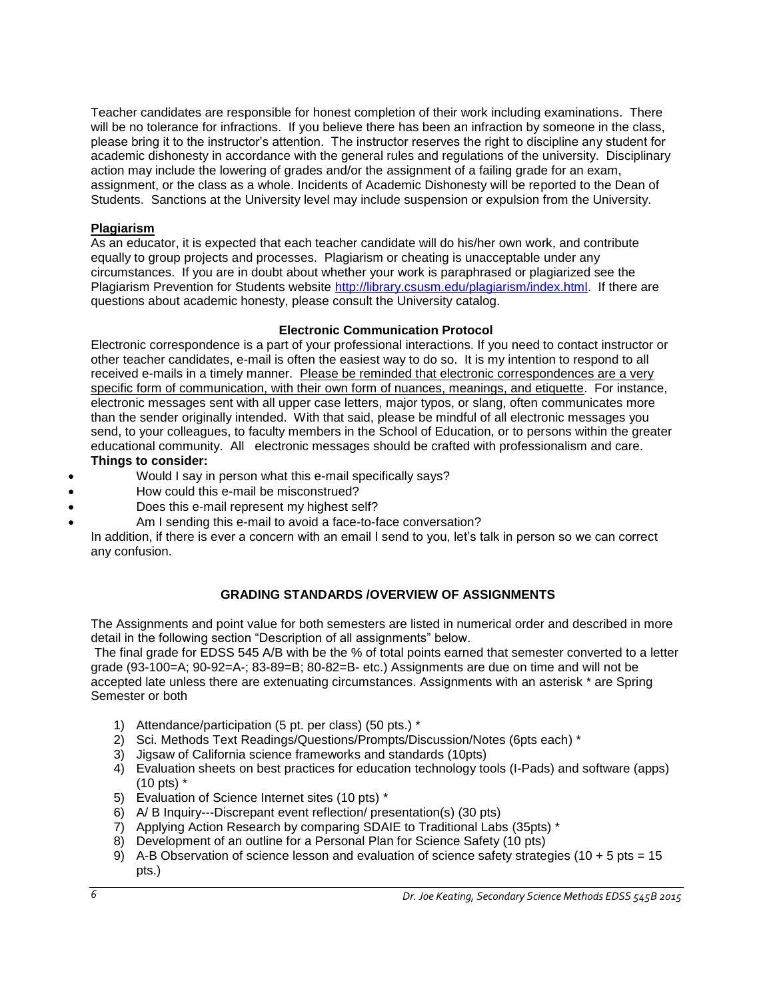Teacher candidates are responsible for honest completion of their work including examinations. There will be no tolerance for infractions. If you believe there has been an infraction by someone in the class, please bring it to the instructor's attention. The instructor reserves the right to discipline any student for academic dishonesty in accordance with the general rules and regulations of the university. Disciplinary action may include the lowering of grades and/or the assignment of a failing grade for an exam, assignment, or the class as a whole. Incidents of Academic Dishonesty will be reported to the Dean of Students. Sanctions at the University level may include suspension or expulsion from the University.

## <span id="page-5-0"></span>**Plagiarism**

As an educator, it is expected that each teacher candidate will do his/her own work, and contribute equally to group projects and processes. Plagiarism or cheating is unacceptable under any circumstances. If you are in doubt about whether your work is paraphrased or plagiarized see the Plagiarism Prevention for Students website [http://library.csusm.edu/plagiarism/index.html.](http://library.csusm.edu/plagiarism/index.html) If there are questions about academic honesty, please consult the University catalog.

## **Electronic Communication Protocol**

<span id="page-5-1"></span>Electronic correspondence is a part of your professional interactions. If you need to contact instructor or other teacher candidates, e-mail is often the easiest way to do so. It is my intention to respond to all received e-mails in a timely manner. Please be reminded that electronic correspondences are a very specific form of communication, with their own form of nuances, meanings, and etiquette. For instance, electronic messages sent with all upper case letters, major typos, or slang, often communicates more than the sender originally intended. With that said, please be mindful of all electronic messages you send, to your colleagues, to faculty members in the School of Education, or to persons within the greater educational community. All electronic messages should be crafted with professionalism and care. **Things to consider:** 

- Would I say in person what this e-mail specifically says?
- How could this e-mail be misconstrued?
- Does this e-mail represent my highest self?
- Am I sending this e-mail to avoid a face-to-face conversation?

In addition, if there is ever a concern with an email I send to you, let's talk in person so we can correct any confusion.

# <span id="page-5-2"></span>**GRADING STANDARDS /OVERVIEW OF ASSIGNMENTS**

The Assignments and point value for both semesters are listed in numerical order and described in more detail in the following section "Description of all assignments" below.

The final grade for EDSS 545 A/B with be the % of total points earned that semester converted to a letter grade (93-100=A; 90-92=A-; 83-89=B; 80-82=B- etc.) Assignments are due on time and will not be accepted late unless there are extenuating circumstances. Assignments with an asterisk \* are Spring Semester or both

- 1) Attendance/participation (5 pt. per class) (50 pts.) \*
- 2) Sci. Methods Text Readings/Questions/Prompts/Discussion/Notes (6pts each) \*
- 3) Jigsaw of California science frameworks and standards (10pts)
- 4) Evaluation sheets on best practices for education technology tools (I-Pads) and software (apps) (10 pts) \*
- 5) Evaluation of Science Internet sites (10 pts) \*
- $6)$  A/ B Inquiry---Discrepant event reflection/ presentation(s) (30 pts)
- 7) Applying Action Research by comparing SDAIE to Traditional Labs (35pts) \*
- 8) Development of an outline for a Personal Plan for Science Safety (10 pts)
- 9) A-B Observation of science lesson and evaluation of science safety strategies (10 + 5 pts = 15 pts.)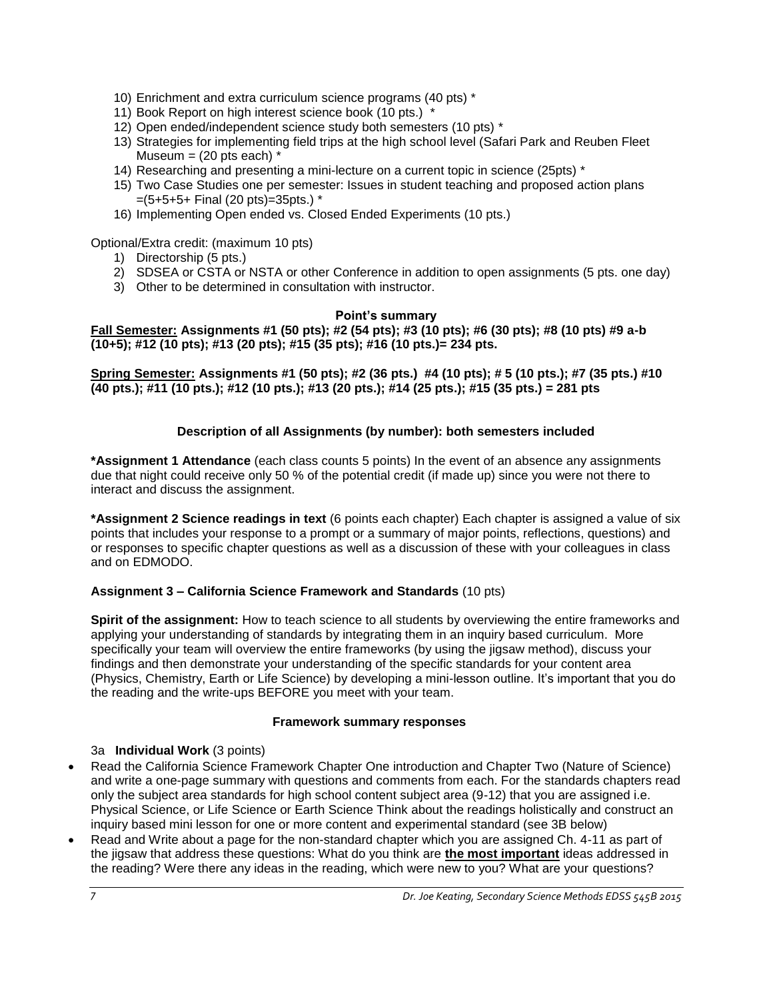- 10) Enrichment and extra curriculum science programs (40 pts) \*
- 11) Book Report on high interest science book (10 pts.) \*
- 12) Open ended/independent science study both semesters (10 pts) \*
- 13) Strategies for implementing field trips at the high school level (Safari Park and Reuben Fleet Museum  $=$  (20 pts each)  $*$
- 14) Researching and presenting a mini-lecture on a current topic in science (25pts) \*
- 15) Two Case Studies one per semester: Issues in student teaching and proposed action plans =(5+5+5+ Final (20 pts)=35pts.) \*
- 16) Implementing Open ended vs. Closed Ended Experiments (10 pts.)

Optional/Extra credit: (maximum 10 pts)

- 1) Directorship (5 pts.)
- 2) SDSEA or CSTA or NSTA or other Conference in addition to open assignments (5 pts. one day)
- 3) Other to be determined in consultation with instructor.

## **Point's summary**

<span id="page-6-0"></span>**Fall Semester: Assignments #1 (50 pts); #2 (54 pts); #3 (10 pts); #6 (30 pts); #8 (10 pts) #9 a-b (10+5); #12 (10 pts); #13 (20 pts); #15 (35 pts); #16 (10 pts.)= 234 pts.**

**Spring Semester: Assignments #1 (50 pts); #2 (36 pts.) #4 (10 pts); # 5 (10 pts.); #7 (35 pts.) #10 (40 pts.); #11 (10 pts.); #12 (10 pts.); #13 (20 pts.); #14 (25 pts.); #15 (35 pts.) = 281 pts**

## **Description of all Assignments (by number): both semesters included**

<span id="page-6-1"></span>**\*Assignment 1 Attendance** (each class counts 5 points) In the event of an absence any assignments due that night could receive only 50 % of the potential credit (if made up) since you were not there to interact and discuss the assignment.

**\*Assignment 2 Science readings in text** (6 points each chapter) Each chapter is assigned a value of six points that includes your response to a prompt or a summary of major points, reflections, questions) and or responses to specific chapter questions as well as a discussion of these with your colleagues in class and on EDMODO.

## **Assignment 3 – California Science Framework and Standards** (10 pts)

**Spirit of the assignment:** How to teach science to all students by overviewing the entire frameworks and applying your understanding of standards by integrating them in an inquiry based curriculum. More specifically your team will overview the entire frameworks (by using the jigsaw method), discuss your findings and then demonstrate your understanding of the specific standards for your content area (Physics, Chemistry, Earth or Life Science) by developing a mini-lesson outline. It's important that you do the reading and the write-ups BEFORE you meet with your team.

## **Framework summary responses**

## 3a **Individual Work** (3 points)

- Read the California Science Framework Chapter One introduction and Chapter Two (Nature of Science) and write a one-page summary with questions and comments from each. For the standards chapters read only the subject area standards for high school content subject area (9-12) that you are assigned i.e. Physical Science, or Life Science or Earth Science Think about the readings holistically and construct an inquiry based mini lesson for one or more content and experimental standard (see 3B below)
- Read and Write about a page for the non-standard chapter which you are assigned Ch. 4-11 as part of the jigsaw that address these questions: What do you think are **the most important** ideas addressed in the reading? Were there any ideas in the reading, which were new to you? What are your questions?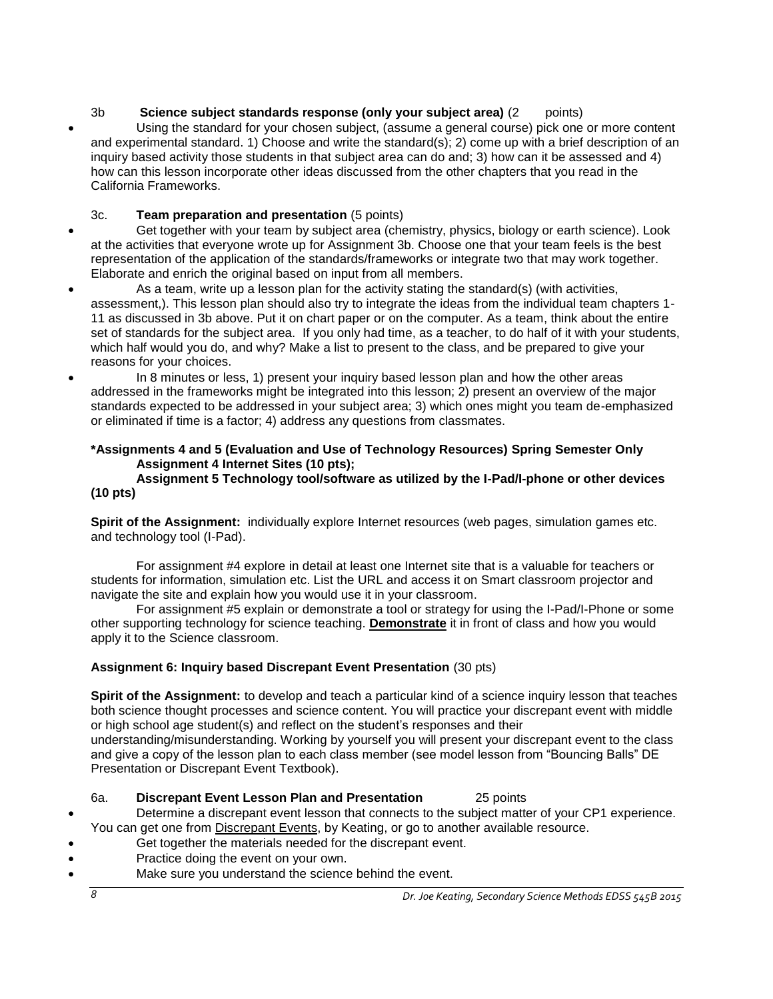# 3b **Science subject standards response (only your subject area)** (2 points)

 Using the standard for your chosen subject, (assume a general course) pick one or more content and experimental standard. 1) Choose and write the standard(s); 2) come up with a brief description of an inquiry based activity those students in that subject area can do and; 3) how can it be assessed and 4) how can this lesson incorporate other ideas discussed from the other chapters that you read in the California Frameworks.

# 3c. **Team preparation and presentation** (5 points)

- Get together with your team by subject area (chemistry, physics, biology or earth science). Look at the activities that everyone wrote up for Assignment 3b. Choose one that your team feels is the best representation of the application of the standards/frameworks or integrate two that may work together. Elaborate and enrich the original based on input from all members.
- As a team, write up a lesson plan for the activity stating the standard(s) (with activities, assessment,). This lesson plan should also try to integrate the ideas from the individual team chapters 1- 11 as discussed in 3b above. Put it on chart paper or on the computer. As a team, think about the entire set of standards for the subject area. If you only had time, as a teacher, to do half of it with your students, which half would you do, and why? Make a list to present to the class, and be prepared to give your reasons for your choices.
- In 8 minutes or less, 1) present your inquiry based lesson plan and how the other areas addressed in the frameworks might be integrated into this lesson; 2) present an overview of the major standards expected to be addressed in your subject area; 3) which ones might you team de-emphasized or eliminated if time is a factor; 4) address any questions from classmates.

## **\*Assignments 4 and 5 (Evaluation and Use of Technology Resources) Spring Semester Only Assignment 4 Internet Sites (10 pts);**

#### **Assignment 5 Technology tool/software as utilized by the I-Pad/I-phone or other devices (10 pts)**

**Spirit of the Assignment:** individually explore Internet resources (web pages, simulation games etc. and technology tool (I-Pad).

For assignment #4 explore in detail at least one Internet site that is a valuable for teachers or students for information, simulation etc. List the URL and access it on Smart classroom projector and navigate the site and explain how you would use it in your classroom.

For assignment #5 explain or demonstrate a tool or strategy for using the I-Pad/I-Phone or some other supporting technology for science teaching. **Demonstrate** it in front of class and how you would apply it to the Science classroom.

# **Assignment 6: Inquiry based Discrepant Event Presentation** (30 pts)

**Spirit of the Assignment:** to develop and teach a particular kind of a science inquiry lesson that teaches both science thought processes and science content. You will practice your discrepant event with middle or high school age student(s) and reflect on the student's responses and their understanding/misunderstanding. Working by yourself you will present your discrepant event to the class

and give a copy of the lesson plan to each class member (see model lesson from "Bouncing Balls" DE Presentation or Discrepant Event Textbook).

#### 6a. **Discrepant Event Lesson Plan and Presentation** 25 points

 Determine a discrepant event lesson that connects to the subject matter of your CP1 experience. You can get one from Discrepant Events, by Keating, or go to another available resource.

- Get together the materials needed for the discrepant event.
- Practice doing the event on your own.
- Make sure you understand the science behind the event.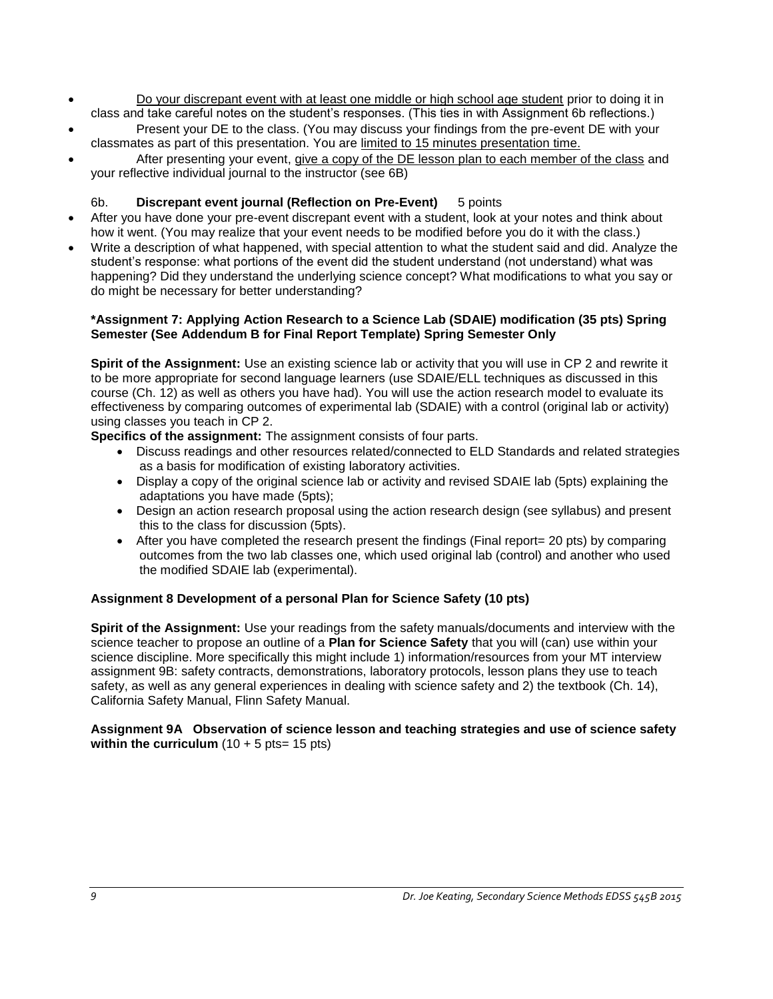- Do your discrepant event with at least one middle or high school age student prior to doing it in class and take careful notes on the student's responses. (This ties in with Assignment 6b reflections.)
- Present your DE to the class. (You may discuss your findings from the pre-event DE with your classmates as part of this presentation. You are limited to 15 minutes presentation time.
- After presenting your event, give a copy of the DE lesson plan to each member of the class and your reflective individual journal to the instructor (see 6B)

# 6b. **Discrepant event journal (Reflection on Pre-Event)** 5 points

- After you have done your pre-event discrepant event with a student, look at your notes and think about how it went. (You may realize that your event needs to be modified before you do it with the class.)
- Write a description of what happened, with special attention to what the student said and did. Analyze the student's response: what portions of the event did the student understand (not understand) what was happening? Did they understand the underlying science concept? What modifications to what you say or do might be necessary for better understanding?

#### **\*Assignment 7: Applying Action Research to a Science Lab (SDAIE) modification (35 pts) Spring Semester (See Addendum B for Final Report Template) Spring Semester Only**

**Spirit of the Assignment:** Use an existing science lab or activity that you will use in CP 2 and rewrite it to be more appropriate for second language learners (use SDAIE/ELL techniques as discussed in this course (Ch. 12) as well as others you have had). You will use the action research model to evaluate its effectiveness by comparing outcomes of experimental lab (SDAIE) with a control (original lab or activity) using classes you teach in CP 2.

**Specifics of the assignment:** The assignment consists of four parts.

- Discuss readings and other resources related/connected to ELD Standards and related strategies as a basis for modification of existing laboratory activities.
- Display a copy of the original science lab or activity and revised SDAIE lab (5pts) explaining the adaptations you have made (5pts);
- Design an action research proposal using the action research design (see syllabus) and present this to the class for discussion (5pts).
- After you have completed the research present the findings (Final report= 20 pts) by comparing outcomes from the two lab classes one, which used original lab (control) and another who used the modified SDAIE lab (experimental).

## **Assignment 8 Development of a personal Plan for Science Safety (10 pts)**

**Spirit of the Assignment:** Use your readings from the safety manuals/documents and interview with the science teacher to propose an outline of a **Plan for Science Safety** that you will (can) use within your science discipline. More specifically this might include 1) information/resources from your MT interview assignment 9B: safety contracts, demonstrations, laboratory protocols, lesson plans they use to teach safety, as well as any general experiences in dealing with science safety and 2) the textbook (Ch. 14), California Safety Manual, Flinn Safety Manual.

#### **Assignment 9A Observation of science lesson and teaching strategies and use of science safety within the curriculum**  $(10 + 5 \text{ pts} = 15 \text{ pts})$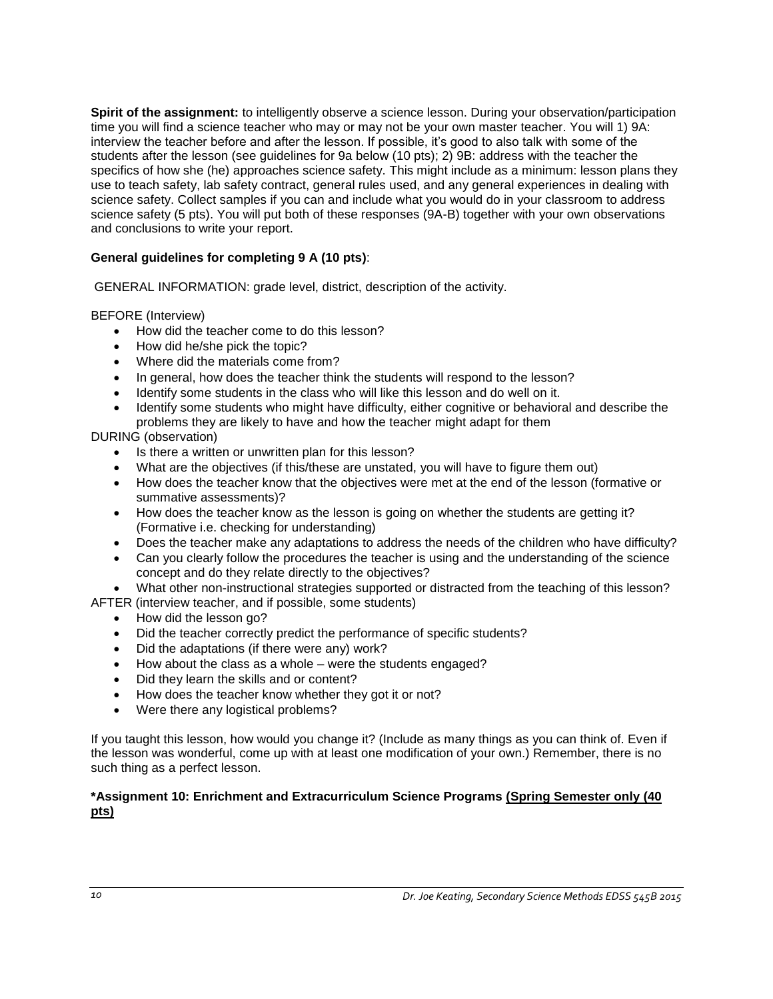**Spirit of the assignment:** to intelligently observe a science lesson. During your observation/participation time you will find a science teacher who may or may not be your own master teacher. You will 1) 9A: interview the teacher before and after the lesson. If possible, it's good to also talk with some of the students after the lesson (see guidelines for 9a below (10 pts); 2) 9B: address with the teacher the specifics of how she (he) approaches science safety. This might include as a minimum: lesson plans they use to teach safety, lab safety contract, general rules used, and any general experiences in dealing with science safety. Collect samples if you can and include what you would do in your classroom to address science safety (5 pts). You will put both of these responses (9A-B) together with your own observations and conclusions to write your report.

## **General guidelines for completing 9 A (10 pts)**:

GENERAL INFORMATION: grade level, district, description of the activity.

BEFORE (Interview)

- How did the teacher come to do this lesson?
- How did he/she pick the topic?
- Where did the materials come from?
- In general, how does the teacher think the students will respond to the lesson?
- Identify some students in the class who will like this lesson and do well on it.
- Identify some students who might have difficulty, either cognitive or behavioral and describe the problems they are likely to have and how the teacher might adapt for them

DURING (observation)

- Is there a written or unwritten plan for this lesson?
- What are the objectives (if this/these are unstated, you will have to figure them out)
- How does the teacher know that the objectives were met at the end of the lesson (formative or summative assessments)?
- How does the teacher know as the lesson is going on whether the students are getting it? (Formative i.e. checking for understanding)
- Does the teacher make any adaptations to address the needs of the children who have difficulty?
- Can you clearly follow the procedures the teacher is using and the understanding of the science concept and do they relate directly to the objectives?

What other non-instructional strategies supported or distracted from the teaching of this lesson?

AFTER (interview teacher, and if possible, some students)

- How did the lesson go?
- Did the teacher correctly predict the performance of specific students?
- Did the adaptations (if there were any) work?
- How about the class as a whole were the students engaged?
- Did they learn the skills and or content?
- How does the teacher know whether they got it or not?
- Were there any logistical problems?

If you taught this lesson, how would you change it? (Include as many things as you can think of. Even if the lesson was wonderful, come up with at least one modification of your own.) Remember, there is no such thing as a perfect lesson.

#### **\*Assignment 10: Enrichment and Extracurriculum Science Programs (Spring Semester only (40 pts)**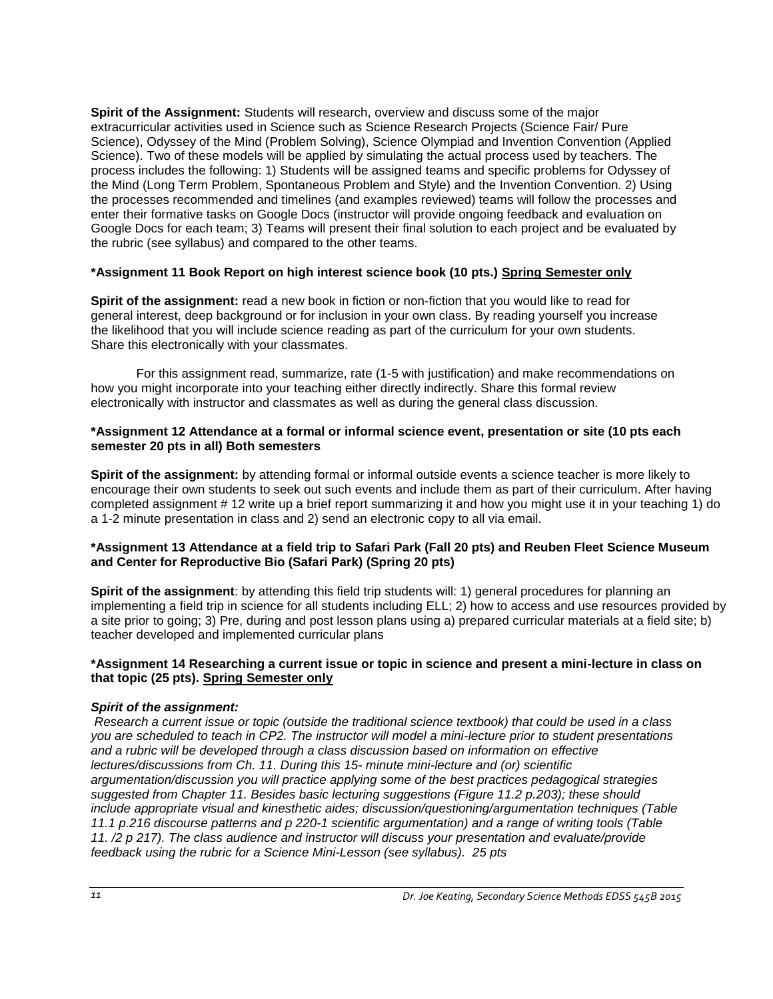**Spirit of the Assignment:** Students will research, overview and discuss some of the major extracurricular activities used in Science such as Science Research Projects (Science Fair/ Pure Science), Odyssey of the Mind (Problem Solving), Science Olympiad and Invention Convention (Applied Science). Two of these models will be applied by simulating the actual process used by teachers. The process includes the following: 1) Students will be assigned teams and specific problems for Odyssey of the Mind (Long Term Problem, Spontaneous Problem and Style) and the Invention Convention. 2) Using the processes recommended and timelines (and examples reviewed) teams will follow the processes and enter their formative tasks on Google Docs (instructor will provide ongoing feedback and evaluation on Google Docs for each team; 3) Teams will present their final solution to each project and be evaluated by the rubric (see syllabus) and compared to the other teams.

## **\*Assignment 11 Book Report on high interest science book (10 pts.) Spring Semester only**

**Spirit of the assignment:** read a new book in fiction or non-fiction that you would like to read for general interest, deep background or for inclusion in your own class. By reading yourself you increase the likelihood that you will include science reading as part of the curriculum for your own students. Share this electronically with your classmates.

For this assignment read, summarize, rate (1-5 with justification) and make recommendations on how you might incorporate into your teaching either directly indirectly. Share this formal review electronically with instructor and classmates as well as during the general class discussion.

#### **\*Assignment 12 Attendance at a formal or informal science event, presentation or site (10 pts each semester 20 pts in all) Both semesters**

**Spirit of the assignment:** by attending formal or informal outside events a science teacher is more likely to encourage their own students to seek out such events and include them as part of their curriculum. After having completed assignment # 12 write up a brief report summarizing it and how you might use it in your teaching 1) do a 1-2 minute presentation in class and 2) send an electronic copy to all via email.

## **\*Assignment 13 Attendance at a field trip to Safari Park (Fall 20 pts) and Reuben Fleet Science Museum and Center for Reproductive Bio (Safari Park) (Spring 20 pts)**

**Spirit of the assignment**: by attending this field trip students will: 1) general procedures for planning an implementing a field trip in science for all students including ELL; 2) how to access and use resources provided by a site prior to going; 3) Pre, during and post lesson plans using a) prepared curricular materials at a field site; b) teacher developed and implemented curricular plans

## **\*Assignment 14 Researching a current issue or topic in science and present a mini-lecture in class on that topic (25 pts). Spring Semester only**

## *Spirit of the assignment:*

*Research a current issue or topic (outside the traditional science textbook) that could be used in a class you are scheduled to teach in CP2. The instructor will model a mini-lecture prior to student presentations and a rubric will be developed through a class discussion based on information on effective lectures/discussions from Ch. 11. During this 15- minute mini-lecture and (or) scientific argumentation/discussion you will practice applying some of the best practices pedagogical strategies suggested from Chapter 11. Besides basic lecturing suggestions (Figure 11.2 p.203); these should include appropriate visual and kinesthetic aides; discussion/questioning/argumentation techniques (Table 11.1 p.216 discourse patterns and p 220-1 scientific argumentation) and a range of writing tools (Table 11. /2 p 217). The class audience and instructor will discuss your presentation and evaluate/provide feedback using the rubric for a Science Mini-Lesson (see syllabus). 25 pts*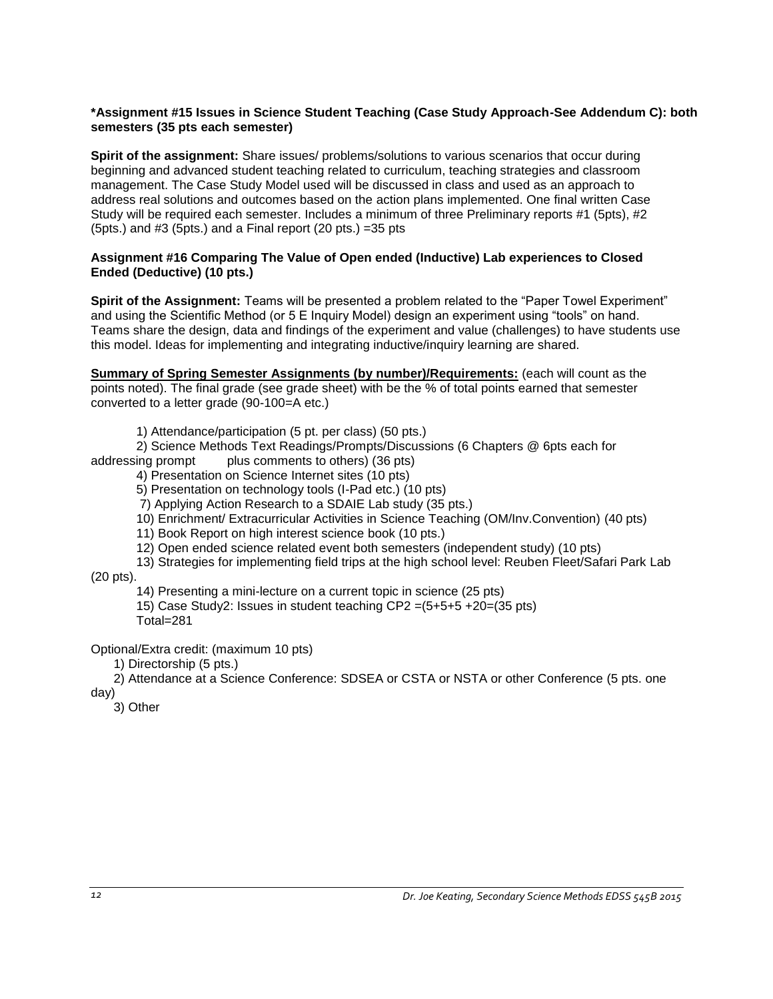#### **\*Assignment #15 Issues in Science Student Teaching (Case Study Approach-See Addendum C): both semesters (35 pts each semester)**

**Spirit of the assignment:** Share issues/ problems/solutions to various scenarios that occur during beginning and advanced student teaching related to curriculum, teaching strategies and classroom management. The Case Study Model used will be discussed in class and used as an approach to address real solutions and outcomes based on the action plans implemented. One final written Case Study will be required each semester. Includes a minimum of three Preliminary reports #1 (5pts), #2 (5pts.) and #3 (5pts.) and a Final report (20 pts.) =35 pts

#### **Assignment #16 Comparing The Value of Open ended (Inductive) Lab experiences to Closed Ended (Deductive) (10 pts.)**

**Spirit of the Assignment:** Teams will be presented a problem related to the "Paper Towel Experiment" and using the Scientific Method (or 5 E Inquiry Model) design an experiment using "tools" on hand. Teams share the design, data and findings of the experiment and value (challenges) to have students use this model. Ideas for implementing and integrating inductive/inquiry learning are shared.

**Summary of Spring Semester Assignments (by number)/Requirements:** (each will count as the points noted). The final grade (see grade sheet) with be the % of total points earned that semester converted to a letter grade (90-100=A etc.)

1) Attendance/participation (5 pt. per class) (50 pts.)

2) Science Methods Text Readings/Prompts/Discussions (6 Chapters @ 6pts each for addressing prompt plus comments to others) (36 pts)

4) Presentation on Science Internet sites (10 pts)

5) Presentation on technology tools (I-Pad etc.) (10 pts)

7) Applying Action Research to a SDAIE Lab study (35 pts.)

10) Enrichment/ Extracurricular Activities in Science Teaching (OM/Inv.Convention) (40 pts)

11) Book Report on high interest science book (10 pts.)

12) Open ended science related event both semesters (independent study) (10 pts)

13) Strategies for implementing field trips at the high school level: Reuben Fleet/Safari Park Lab

(20 pts).

14) Presenting a mini-lecture on a current topic in science (25 pts)

15) Case Study2: Issues in student teaching CP2 =(5+5+5 +20=(35 pts) Total=281

Optional/Extra credit: (maximum 10 pts)

1) Directorship (5 pts.)

2) Attendance at a Science Conference: SDSEA or CSTA or NSTA or other Conference (5 pts. one day)

3) Other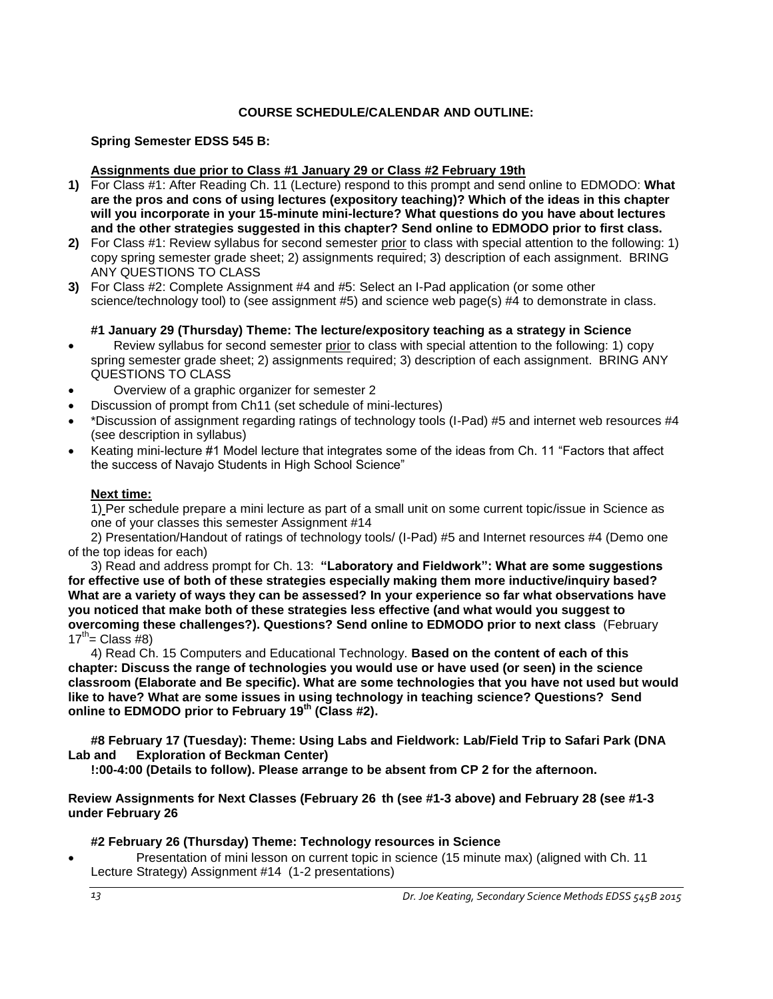## **COURSE SCHEDULE/CALENDAR AND OUTLINE:**

## <span id="page-12-0"></span>**Spring Semester EDSS 545 B:**

## **Assignments due prior to Class #1 January 29 or Class #2 February 19th**

- **1)** For Class #1: After Reading Ch. 11 (Lecture) respond to this prompt and send online to EDMODO: **What are the pros and cons of using lectures (expository teaching)? Which of the ideas in this chapter will you incorporate in your 15-minute mini-lecture? What questions do you have about lectures and the other strategies suggested in this chapter? Send online to EDMODO prior to first class.**
- **2)** For Class #1: Review syllabus for second semester prior to class with special attention to the following: 1) copy spring semester grade sheet; 2) assignments required; 3) description of each assignment. BRING ANY QUESTIONS TO CLASS
- **3)** For Class #2: Complete Assignment #4 and #5: Select an I-Pad application (or some other science/technology tool) to (see assignment #5) and science web page(s) #4 to demonstrate in class.

## **#1 January 29 (Thursday) Theme: The lecture/expository teaching as a strategy in Science**

- Review syllabus for second semester prior to class with special attention to the following: 1) copy spring semester grade sheet; 2) assignments required; 3) description of each assignment. BRING ANY QUESTIONS TO CLASS
- Overview of a graphic organizer for semester 2
- Discussion of prompt from Ch11 (set schedule of mini-lectures)
- \*Discussion of assignment regarding ratings of technology tools (I-Pad) #5 and internet web resources #4 (see description in syllabus)
- Keating mini-lecture #1 Model lecture that integrates some of the ideas from Ch. 11 "Factors that affect the success of Navajo Students in High School Science"

## **Next time:**

1) Per schedule prepare a mini lecture as part of a small unit on some current topic/issue in Science as one of your classes this semester Assignment #14

2) Presentation/Handout of ratings of technology tools/ (I-Pad) #5 and Internet resources #4 (Demo one of the top ideas for each)

3) Read and address prompt for Ch. 13: **"Laboratory and Fieldwork": What are some suggestions for effective use of both of these strategies especially making them more inductive/inquiry based? What are a variety of ways they can be assessed? In your experience so far what observations have you noticed that make both of these strategies less effective (and what would you suggest to overcoming these challenges?). Questions? Send online to EDMODO prior to next class** (February  $17^{th}$  Class #8)

4) Read Ch. 15 Computers and Educational Technology. **Based on the content of each of this chapter: Discuss the range of technologies you would use or have used (or seen) in the science classroom (Elaborate and Be specific). What are some technologies that you have not used but would like to have? What are some issues in using technology in teaching science? Questions? Send online to EDMODO prior to February 19th (Class #2).**

**#8 February 17 (Tuesday): Theme: Using Labs and Fieldwork: Lab/Field Trip to Safari Park (DNA Lab and Exploration of Beckman Center)**

**!:00-4:00 (Details to follow). Please arrange to be absent from CP 2 for the afternoon.** 

**Review Assignments for Next Classes (February 26 th (see #1-3 above) and February 28 (see #1-3 under February 26**

## **#2 February 26 (Thursday) Theme: Technology resources in Science**

 Presentation of mini lesson on current topic in science (15 minute max) (aligned with Ch. 11 Lecture Strategy) Assignment #14 (1-2 presentations)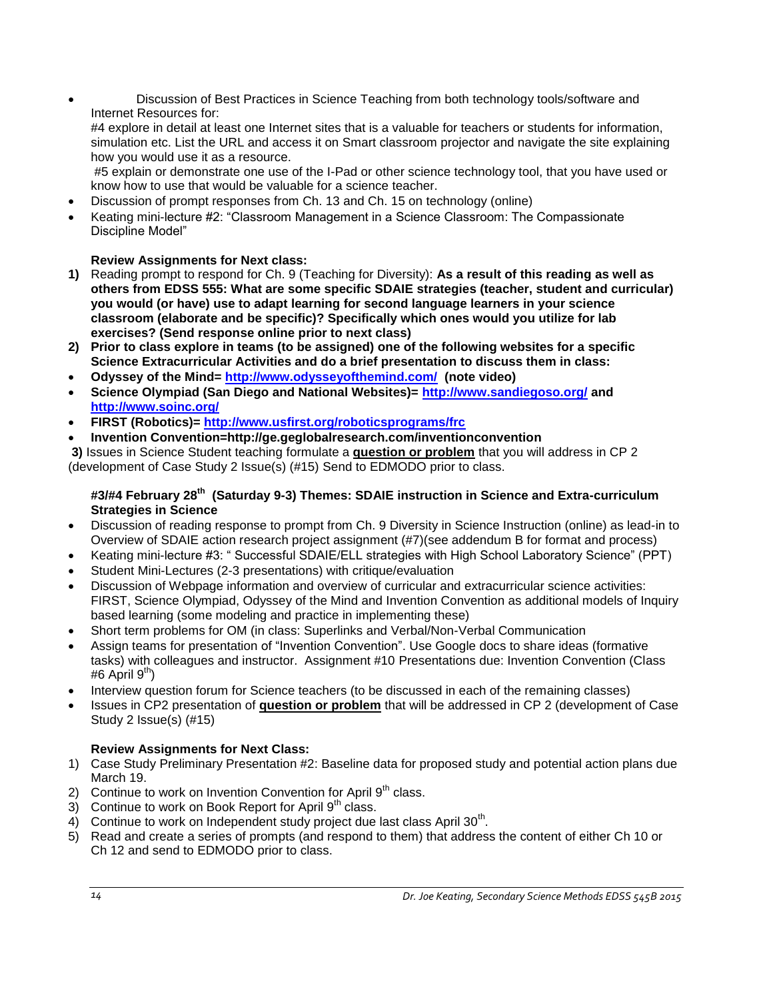Discussion of Best Practices in Science Teaching from both technology tools/software and Internet Resources for:

#4 explore in detail at least one Internet sites that is a valuable for teachers or students for information, simulation etc. List the URL and access it on Smart classroom projector and navigate the site explaining how you would use it as a resource.

#5 explain or demonstrate one use of the I-Pad or other science technology tool, that you have used or know how to use that would be valuable for a science teacher.

- Discussion of prompt responses from Ch. 13 and Ch. 15 on technology (online)
- Keating mini-lecture #2: "Classroom Management in a Science Classroom: The Compassionate Discipline Model"

# **Review Assignments for Next class:**

- **1)** Reading prompt to respond for Ch. 9 (Teaching for Diversity): **As a result of this reading as well as others from EDSS 555: What are some specific SDAIE strategies (teacher, student and curricular) you would (or have) use to adapt learning for second language learners in your science classroom (elaborate and be specific)? Specifically which ones would you utilize for lab exercises? (Send response online prior to next class)**
- **2) Prior to class explore in teams (to be assigned) one of the following websites for a specific Science Extracurricular Activities and do a brief presentation to discuss them in class:**
- **Odyssey of the Mind=<http://www.odysseyofthemind.com/>(note video)**
- **Science Olympiad (San Diego and National Websites)=<http://www.sandiegoso.org/> and <http://www.soinc.org/>**
- **FIRST (Robotics)=<http://www.usfirst.org/roboticsprograms/frc>**
- **Invention Convention=http://ge.geglobalresearch.com/inventionconvention**

**3)** Issues in Science Student teaching formulate a **question or problem** that you will address in CP 2 (development of Case Study 2 Issue(s) (#15) Send to EDMODO prior to class.

# **#3/#4 February 28th (Saturday 9-3) Themes: SDAIE instruction in Science and Extra-curriculum Strategies in Science**

- Discussion of reading response to prompt from Ch. 9 Diversity in Science Instruction (online) as lead-in to Overview of SDAIE action research project assignment (#7)(see addendum B for format and process)
- Keating mini-lecture #3: " Successful SDAIE/ELL strategies with High School Laboratory Science" (PPT)
- Student Mini-Lectures (2-3 presentations) with critique/evaluation
- Discussion of Webpage information and overview of curricular and extracurricular science activities: FIRST, Science Olympiad, Odyssey of the Mind and Invention Convention as additional models of Inquiry based learning (some modeling and practice in implementing these)
- Short term problems for OM (in class: Superlinks and Verbal/Non-Verbal Communication
- Assign teams for presentation of "Invention Convention". Use Google docs to share ideas (formative tasks) with colleagues and instructor. Assignment #10 Presentations due: Invention Convention (Class #6 April 9<sup>th</sup>)
- Interview question forum for Science teachers (to be discussed in each of the remaining classes)
- Issues in CP2 presentation of **question or problem** that will be addressed in CP 2 (development of Case Study 2 Issue(s) (#15)

# **Review Assignments for Next Class:**

- 1) Case Study Preliminary Presentation #2: Baseline data for proposed study and potential action plans due March 19.
- 2) Continue to work on Invention Convention for April  $9<sup>th</sup>$  class.
- 3) Continue to work on Book Report for April  $9<sup>th</sup>$  class.
- 4) Continue to work on Independent study project due last class April 30<sup>th</sup>.
- 5) Read and create a series of prompts (and respond to them) that address the content of either Ch 10 or Ch 12 and send to EDMODO prior to class.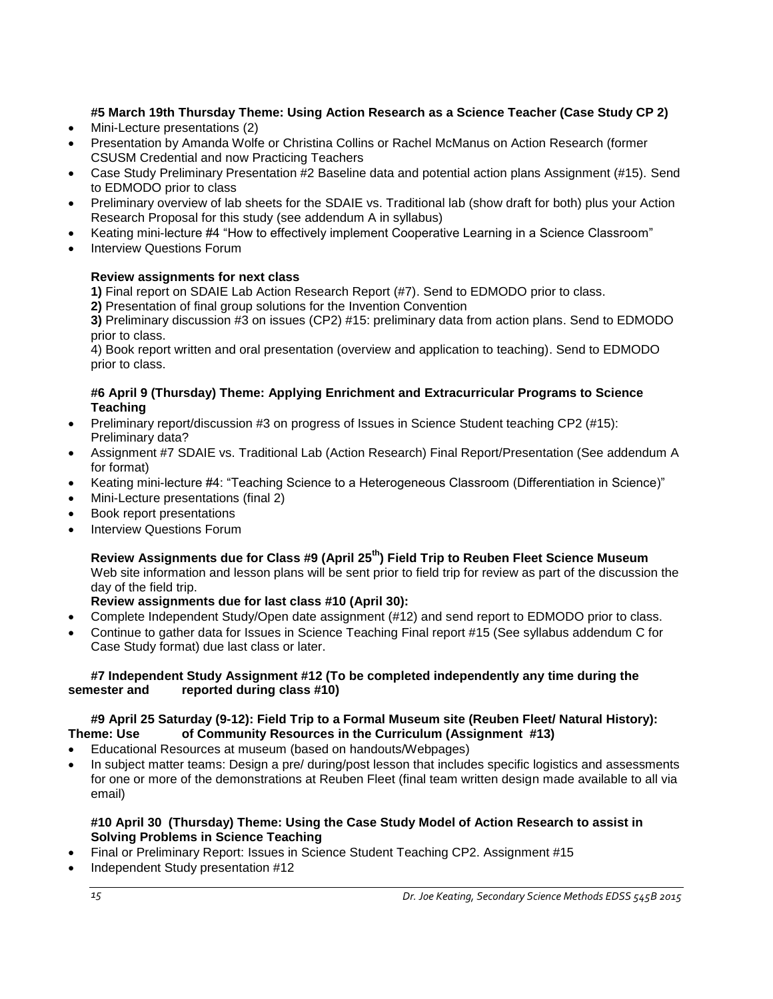# **#5 March 19th Thursday Theme: Using Action Research as a Science Teacher (Case Study CP 2)**

- Mini-Lecture presentations (2)
- Presentation by Amanda Wolfe or Christina Collins or Rachel McManus on Action Research (former CSUSM Credential and now Practicing Teachers
- Case Study Preliminary Presentation #2 Baseline data and potential action plans Assignment (#15). Send to EDMODO prior to class
- Preliminary overview of lab sheets for the SDAIE vs. Traditional lab (show draft for both) plus your Action Research Proposal for this study (see addendum A in syllabus)
- Keating mini-lecture #4 "How to effectively implement Cooperative Learning in a Science Classroom"
- Interview Questions Forum

# **Review assignments for next class**

**1)** Final report on SDAIE Lab Action Research Report (#7). Send to EDMODO prior to class.

**2)** Presentation of final group solutions for the Invention Convention

**3)** Preliminary discussion #3 on issues (CP2) #15: preliminary data from action plans. Send to EDMODO prior to class.

4) Book report written and oral presentation (overview and application to teaching). Send to EDMODO prior to class.

## **#6 April 9 (Thursday) Theme: Applying Enrichment and Extracurricular Programs to Science Teaching**

- Preliminary report/discussion #3 on progress of Issues in Science Student teaching CP2 (#15): Preliminary data?
- Assignment #7 SDAIE vs. Traditional Lab (Action Research) Final Report/Presentation (See addendum A for format)
- Keating mini-lecture #4: "Teaching Science to a Heterogeneous Classroom (Differentiation in Science)"
- Mini-Lecture presentations (final 2)
- Book report presentations
- Interview Questions Forum

**Review Assignments due for Class #9 (April 25th) Field Trip to Reuben Fleet Science Museum** Web site information and lesson plans will be sent prior to field trip for review as part of the discussion the day of the field trip.

**Review assignments due for last class #10 (April 30):**

- Complete Independent Study/Open date assignment (#12) and send report to EDMODO prior to class.
- Continue to gather data for Issues in Science Teaching Final report #15 (See syllabus addendum C for Case Study format) due last class or later.

## **#7 Independent Study Assignment #12 (To be completed independently any time during the semester and reported during class #10)**

## **#9 April 25 Saturday (9-12): Field Trip to a Formal Museum site (Reuben Fleet/ Natural History): Theme: Use of Community Resources in the Curriculum (Assignment #13)**

- Educational Resources at museum (based on handouts/Webpages)
- In subject matter teams: Design a pre/ during/post lesson that includes specific logistics and assessments for one or more of the demonstrations at Reuben Fleet (final team written design made available to all via email)

## **#10 April 30 (Thursday) Theme: Using the Case Study Model of Action Research to assist in Solving Problems in Science Teaching**

- Final or Preliminary Report: Issues in Science Student Teaching CP2. Assignment #15
- Independent Study presentation #12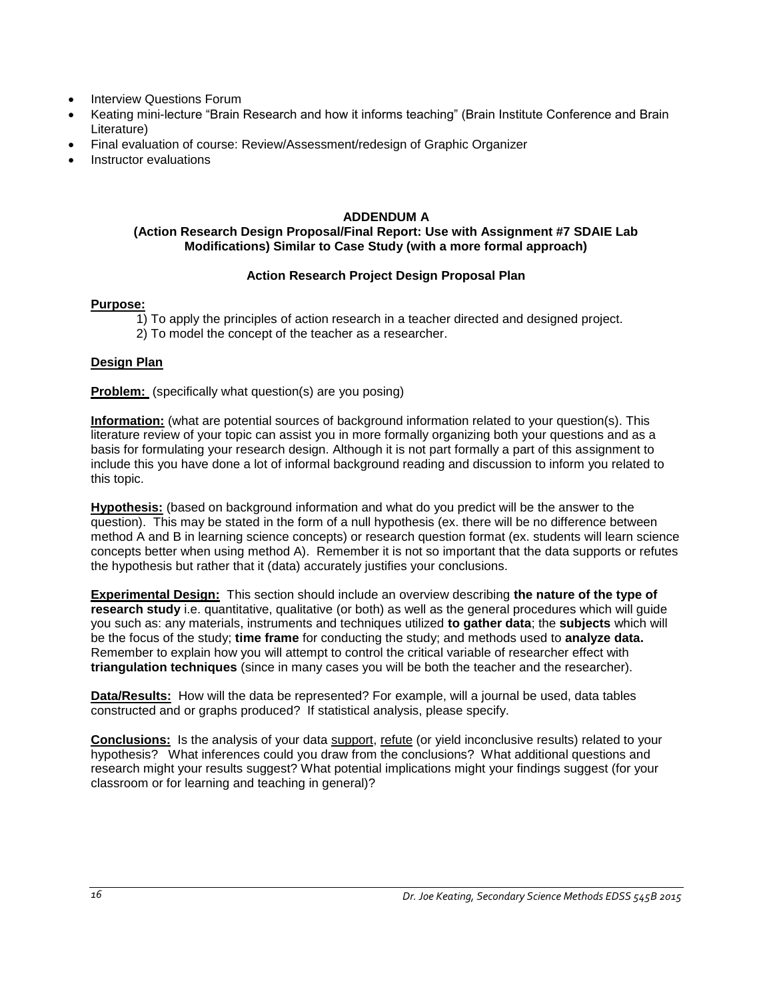- Interview Questions Forum
- Keating mini-lecture "Brain Research and how it informs teaching" (Brain Institute Conference and Brain Literature)
- Final evaluation of course: Review/Assessment/redesign of Graphic Organizer
- Instructor evaluations

## **ADDENDUM A**

## <span id="page-15-0"></span>**(Action Research Design Proposal/Final Report: Use with Assignment #7 SDAIE Lab Modifications) Similar to Case Study (with a more formal approach)**

## **Action Research Project Design Proposal Plan**

## **Purpose:**

- 1) To apply the principles of action research in a teacher directed and designed project.
- 2) To model the concept of the teacher as a researcher.

## **Design Plan**

**Problem:** (specifically what question(s) are you posing)

**Information:** (what are potential sources of background information related to your question(s). This literature review of your topic can assist you in more formally organizing both your questions and as a basis for formulating your research design. Although it is not part formally a part of this assignment to include this you have done a lot of informal background reading and discussion to inform you related to this topic.

**Hypothesis:** (based on background information and what do you predict will be the answer to the question). This may be stated in the form of a null hypothesis (ex. there will be no difference between method A and B in learning science concepts) or research question format (ex. students will learn science concepts better when using method A). Remember it is not so important that the data supports or refutes the hypothesis but rather that it (data) accurately justifies your conclusions.

**Experimental Design:** This section should include an overview describing **the nature of the type of research study** i.e. quantitative, qualitative (or both) as well as the general procedures which will guide you such as: any materials, instruments and techniques utilized **to gather data**; the **subjects** which will be the focus of the study; **time frame** for conducting the study; and methods used to **analyze data.** Remember to explain how you will attempt to control the critical variable of researcher effect with **triangulation techniques** (since in many cases you will be both the teacher and the researcher).

**Data/Results:** How will the data be represented? For example, will a journal be used, data tables constructed and or graphs produced? If statistical analysis, please specify.

**Conclusions:** Is the analysis of your data support, refute (or yield inconclusive results) related to your hypothesis? What inferences could you draw from the conclusions? What additional questions and research might your results suggest? What potential implications might your findings suggest (for your classroom or for learning and teaching in general)?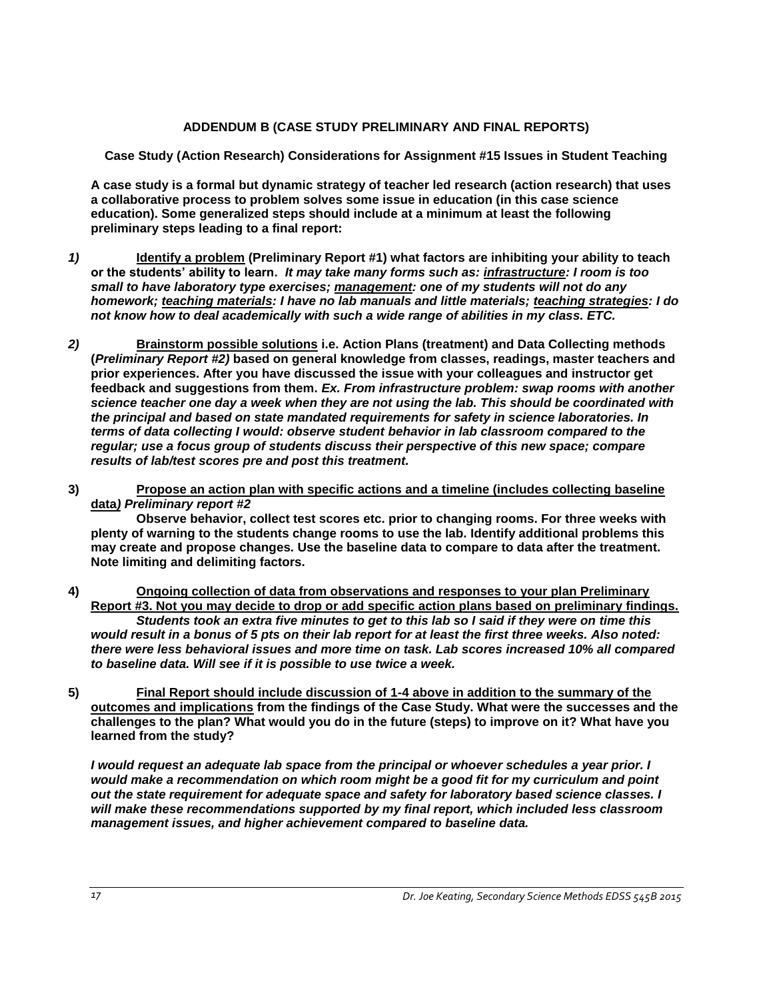## **ADDENDUM B (CASE STUDY PRELIMINARY AND FINAL REPORTS)**

<span id="page-16-0"></span>**Case Study (Action Research) Considerations for Assignment #15 Issues in Student Teaching**

**A case study is a formal but dynamic strategy of teacher led research (action research) that uses a collaborative process to problem solves some issue in education (in this case science education). Some generalized steps should include at a minimum at least the following preliminary steps leading to a final report:** 

- *1)* **Identify a problem (Preliminary Report #1) what factors are inhibiting your ability to teach or the students' ability to learn.** *It may take many forms such as: infrastructure: I room is too small to have laboratory type exercises; management: one of my students will not do any homework; teaching materials: I have no lab manuals and little materials; teaching strategies: I do not know how to deal academically with such a wide range of abilities in my class. ETC.*
- *2)* **Brainstorm possible solutions i.e. Action Plans (treatment) and Data Collecting methods (***Preliminary Report #2)* **based on general knowledge from classes, readings, master teachers and prior experiences. After you have discussed the issue with your colleagues and instructor get feedback and suggestions from them.** *Ex. From infrastructure problem: swap rooms with another science teacher one day a week when they are not using the lab. This should be coordinated with the principal and based on state mandated requirements for safety in science laboratories. In terms of data collecting I would: observe student behavior in lab classroom compared to the regular; use a focus group of students discuss their perspective of this new space; compare results of lab/test scores pre and post this treatment.*
- **3) Propose an action plan with specific actions and a timeline (includes collecting baseline data***) Preliminary report #2*

**Observe behavior, collect test scores etc. prior to changing rooms. For three weeks with plenty of warning to the students change rooms to use the lab. Identify additional problems this may create and propose changes. Use the baseline data to compare to data after the treatment. Note limiting and delimiting factors.**

- **4) Ongoing collection of data from observations and responses to your plan Preliminary Report #3. Not you may decide to drop or add specific action plans based on preliminary findings.** *Students took an extra five minutes to get to this lab so I said if they were on time this would result in a bonus of 5 pts on their lab report for at least the first three weeks. Also noted: there were less behavioral issues and more time on task. Lab scores increased 10% all compared to baseline data. Will see if it is possible to use twice a week.*
- **5) Final Report should include discussion of 1-4 above in addition to the summary of the outcomes and implications from the findings of the Case Study. What were the successes and the challenges to the plan? What would you do in the future (steps) to improve on it? What have you learned from the study?**

*I would request an adequate lab space from the principal or whoever schedules a year prior. I would make a recommendation on which room might be a good fit for my curriculum and point out the state requirement for adequate space and safety for laboratory based science classes. I will make these recommendations supported by my final report, which included less classroom management issues, and higher achievement compared to baseline data.*